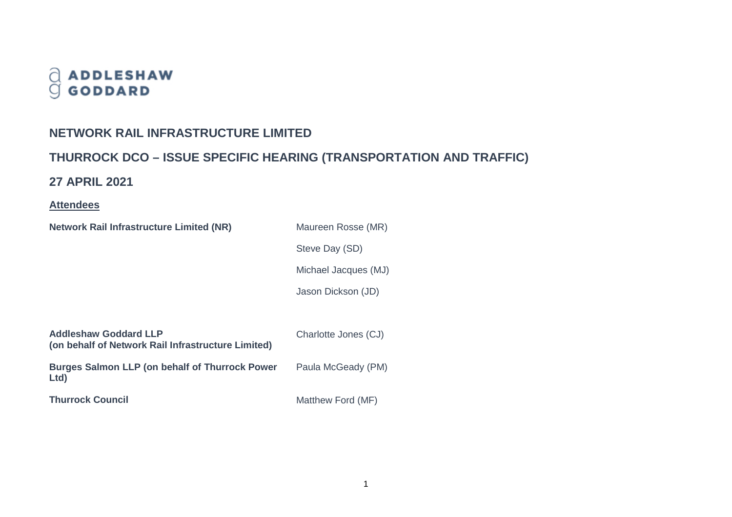# $\begin{array}{c} \bigcirc \\ \bigcirc \\ \bigcirc \end{array} \begin{array}{c} \textbf{ADDLESHAW} \\ \textbf{GODDARD} \end{array}$

## **NETWORK RAIL INFRASTRUCTURE LIMITED**

# **THURROCK DCO – ISSUE SPECIFIC HEARING (TRANSPORTATION AND TRAFFIC)**

## **27 APRIL 2021**

## **Attendees**

| <b>Network Rail Infrastructure Limited (NR)</b>                                    | Maureen Rosse (MR)   |
|------------------------------------------------------------------------------------|----------------------|
|                                                                                    | Steve Day (SD)       |
|                                                                                    | Michael Jacques (MJ) |
|                                                                                    | Jason Dickson (JD)   |
|                                                                                    |                      |
| <b>Addleshaw Goddard LLP</b><br>(on behalf of Network Rail Infrastructure Limited) | Charlotte Jones (CJ) |
| <b>Burges Salmon LLP (on behalf of Thurrock Power</b><br>Ltd)                      | Paula McGeady (PM)   |
| <b>Thurrock Council</b>                                                            | Matthew Ford (MF)    |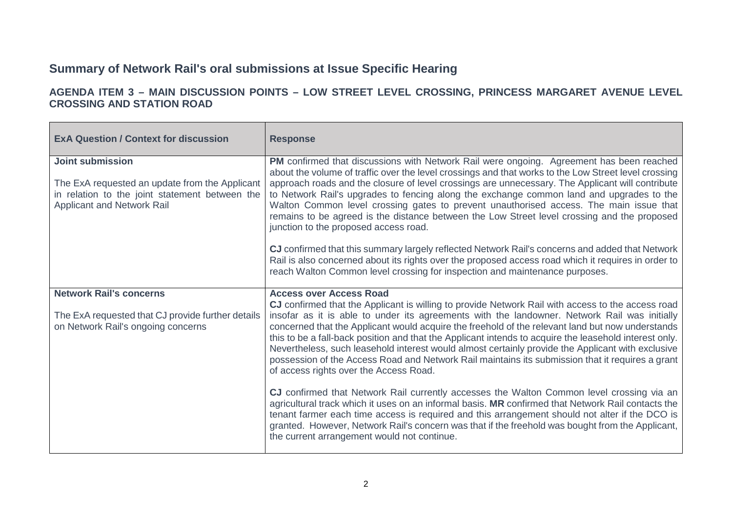## **Summary of Network Rail's oral submissions at Issue Specific Hearing**

## **AGENDA ITEM 3 – MAIN DISCUSSION POINTS – LOW STREET LEVEL CROSSING, PRINCESS MARGARET AVENUE LEVEL CROSSING AND STATION ROAD**

| <b>ExA Question / Context for discussion</b>                                                                                                              | <b>Response</b>                                                                                                                                                                                                                                                                                                                                                                                                                                                                                                                                                                                                                                                                                                                                                                                                                                                                                                                                                                                                                                                                                                                                              |
|-----------------------------------------------------------------------------------------------------------------------------------------------------------|--------------------------------------------------------------------------------------------------------------------------------------------------------------------------------------------------------------------------------------------------------------------------------------------------------------------------------------------------------------------------------------------------------------------------------------------------------------------------------------------------------------------------------------------------------------------------------------------------------------------------------------------------------------------------------------------------------------------------------------------------------------------------------------------------------------------------------------------------------------------------------------------------------------------------------------------------------------------------------------------------------------------------------------------------------------------------------------------------------------------------------------------------------------|
| <b>Joint submission</b><br>The ExA requested an update from the Applicant<br>in relation to the joint statement between the<br>Applicant and Network Rail | PM confirmed that discussions with Network Rail were ongoing. Agreement has been reached<br>about the volume of traffic over the level crossings and that works to the Low Street level crossing<br>approach roads and the closure of level crossings are unnecessary. The Applicant will contribute<br>to Network Rail's upgrades to fencing along the exchange common land and upgrades to the<br>Walton Common level crossing gates to prevent unauthorised access. The main issue that<br>remains to be agreed is the distance between the Low Street level crossing and the proposed<br>junction to the proposed access road.<br>CJ confirmed that this summary largely reflected Network Rail's concerns and added that Network<br>Rail is also concerned about its rights over the proposed access road which it requires in order to<br>reach Walton Common level crossing for inspection and maintenance purposes.                                                                                                                                                                                                                                  |
| <b>Network Rail's concerns</b><br>The ExA requested that CJ provide further details<br>on Network Rail's ongoing concerns                                 | <b>Access over Access Road</b><br>CJ confirmed that the Applicant is willing to provide Network Rail with access to the access road<br>insofar as it is able to under its agreements with the landowner. Network Rail was initially<br>concerned that the Applicant would acquire the freehold of the relevant land but now understands<br>this to be a fall-back position and that the Applicant intends to acquire the leasehold interest only.<br>Nevertheless, such leasehold interest would almost certainly provide the Applicant with exclusive<br>possession of the Access Road and Network Rail maintains its submission that it requires a grant<br>of access rights over the Access Road.<br>CJ confirmed that Network Rail currently accesses the Walton Common level crossing via an<br>agricultural track which it uses on an informal basis. MR confirmed that Network Rail contacts the<br>tenant farmer each time access is required and this arrangement should not alter if the DCO is<br>granted. However, Network Rail's concern was that if the freehold was bought from the Applicant,<br>the current arrangement would not continue. |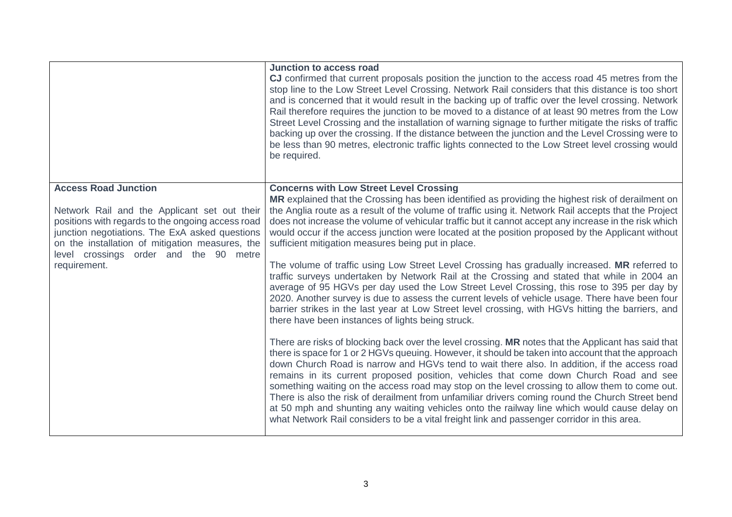|                                                                                                                                                                                                                                                                                                 | Junction to access road<br>CJ confirmed that current proposals position the junction to the access road 45 metres from the<br>stop line to the Low Street Level Crossing. Network Rail considers that this distance is too short<br>and is concerned that it would result in the backing up of traffic over the level crossing. Network<br>Rail therefore requires the junction to be moved to a distance of at least 90 metres from the Low<br>Street Level Crossing and the installation of warning signage to further mitigate the risks of traffic<br>backing up over the crossing. If the distance between the junction and the Level Crossing were to<br>be less than 90 metres, electronic traffic lights connected to the Low Street level crossing would<br>be required.                                                                                                                                                                                                                                                                                                                                                                                                                                                                                                                                                                                                                                                                                                                                                                                                                                                                                                                                                                                                                                                                                                                       |
|-------------------------------------------------------------------------------------------------------------------------------------------------------------------------------------------------------------------------------------------------------------------------------------------------|---------------------------------------------------------------------------------------------------------------------------------------------------------------------------------------------------------------------------------------------------------------------------------------------------------------------------------------------------------------------------------------------------------------------------------------------------------------------------------------------------------------------------------------------------------------------------------------------------------------------------------------------------------------------------------------------------------------------------------------------------------------------------------------------------------------------------------------------------------------------------------------------------------------------------------------------------------------------------------------------------------------------------------------------------------------------------------------------------------------------------------------------------------------------------------------------------------------------------------------------------------------------------------------------------------------------------------------------------------------------------------------------------------------------------------------------------------------------------------------------------------------------------------------------------------------------------------------------------------------------------------------------------------------------------------------------------------------------------------------------------------------------------------------------------------------------------------------------------------------------------------------------------------|
| <b>Access Road Junction</b><br>Network Rail and the Applicant set out their<br>positions with regards to the ongoing access road<br>junction negotiations. The ExA asked questions<br>on the installation of mitigation measures, the<br>level crossings order and the 90 metre<br>requirement. | <b>Concerns with Low Street Level Crossing</b><br>MR explained that the Crossing has been identified as providing the highest risk of derailment on<br>the Anglia route as a result of the volume of traffic using it. Network Rail accepts that the Project<br>does not increase the volume of vehicular traffic but it cannot accept any increase in the risk which<br>would occur if the access junction were located at the position proposed by the Applicant without<br>sufficient mitigation measures being put in place.<br>The volume of traffic using Low Street Level Crossing has gradually increased. MR referred to<br>traffic surveys undertaken by Network Rail at the Crossing and stated that while in 2004 an<br>average of 95 HGVs per day used the Low Street Level Crossing, this rose to 395 per day by<br>2020. Another survey is due to assess the current levels of vehicle usage. There have been four<br>barrier strikes in the last year at Low Street level crossing, with HGVs hitting the barriers, and<br>there have been instances of lights being struck.<br>There are risks of blocking back over the level crossing. MR notes that the Applicant has said that<br>there is space for 1 or 2 HGVs queuing. However, it should be taken into account that the approach<br>down Church Road is narrow and HGVs tend to wait there also. In addition, if the access road<br>remains in its current proposed position, vehicles that come down Church Road and see<br>something waiting on the access road may stop on the level crossing to allow them to come out.<br>There is also the risk of derailment from unfamiliar drivers coming round the Church Street bend<br>at 50 mph and shunting any waiting vehicles onto the railway line which would cause delay on<br>what Network Rail considers to be a vital freight link and passenger corridor in this area. |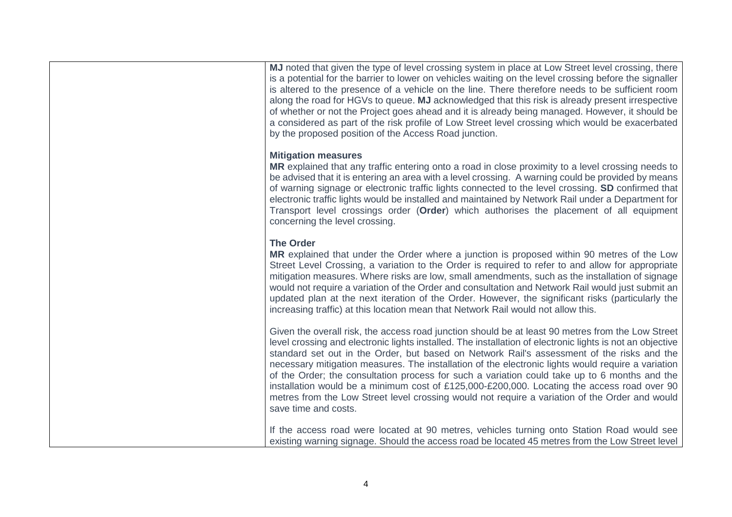**MJ** noted that given the type of level crossing system in place at Low Street level crossing, there is a potential for the barrier to lower on vehicles waiting on the level crossing before the signaller is altered to the presence of a vehicle on the line. There therefore needs to be sufficient room along the road for HGVs to queue. **MJ** acknowledged that this risk is already present irrespective of whether or not the Project goes ahead and it is already being managed. However, it should be a considered as part of the risk profile of Low Street level crossing which would be exacerbated by the proposed position of the Access Road junction.

#### **Mitigation measures**

**MR** explained that any traffic entering onto a road in close proximity to a level crossing needs to be advised that it is entering an area with a level crossing. A warning could be provided by means of warning signage or electronic traffic lights connected to the level crossing. **SD** confirmed that electronic traffic lights would be installed and maintained by Network Rail under a Department for Transport level crossings order (**Order**) which authorises the placement of all equipment concerning the level crossing.

#### **The Order**

**MR** explained that under the Order where a junction is proposed within 90 metres of the Low Street Level Crossing, a variation to the Order is required to refer to and allow for appropriate mitigation measures. Where risks are low, small amendments, such as the installation of signage would not require a variation of the Order and consultation and Network Rail would just submit an updated plan at the next iteration of the Order. However, the significant risks (particularly the increasing traffic) at this location mean that Network Rail would not allow this.

Given the overall risk, the access road junction should be at least 90 metres from the Low Street level crossing and electronic lights installed. The installation of electronic lights is not an objective standard set out in the Order, but based on Network Rail's assessment of the risks and the necessary mitigation measures. The installation of the electronic lights would require a variation of the Order; the consultation process for such a variation could take up to 6 months and the installation would be a minimum cost of £125,000-£200,000. Locating the access road over 90 metres from the Low Street level crossing would not require a variation of the Order and would save time and costs.

If the access road were located at 90 metres, vehicles turning onto Station Road would see existing warning signage. Should the access road be located 45 metres from the Low Street level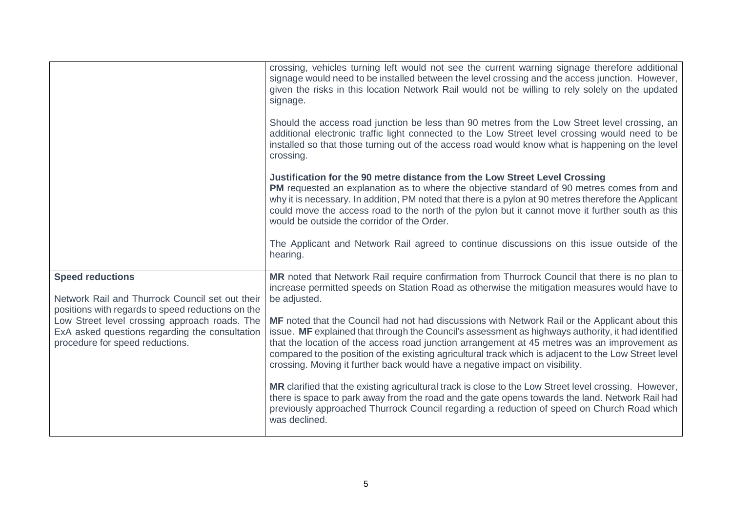|                                                                                                                                    | crossing, vehicles turning left would not see the current warning signage therefore additional<br>signage would need to be installed between the level crossing and the access junction. However,<br>given the risks in this location Network Rail would not be willing to rely solely on the updated<br>signage.                                                                                                                                                                              |
|------------------------------------------------------------------------------------------------------------------------------------|------------------------------------------------------------------------------------------------------------------------------------------------------------------------------------------------------------------------------------------------------------------------------------------------------------------------------------------------------------------------------------------------------------------------------------------------------------------------------------------------|
|                                                                                                                                    | Should the access road junction be less than 90 metres from the Low Street level crossing, an<br>additional electronic traffic light connected to the Low Street level crossing would need to be<br>installed so that those turning out of the access road would know what is happening on the level<br>crossing.                                                                                                                                                                              |
|                                                                                                                                    | Justification for the 90 metre distance from the Low Street Level Crossing<br>PM requested an explanation as to where the objective standard of 90 metres comes from and<br>why it is necessary. In addition, PM noted that there is a pylon at 90 metres therefore the Applicant<br>could move the access road to the north of the pylon but it cannot move it further south as this<br>would be outside the corridor of the Order.                                                           |
|                                                                                                                                    | The Applicant and Network Rail agreed to continue discussions on this issue outside of the<br>hearing.                                                                                                                                                                                                                                                                                                                                                                                         |
| <b>Speed reductions</b><br>Network Rail and Thurrock Council set out their<br>positions with regards to speed reductions on the    | MR noted that Network Rail require confirmation from Thurrock Council that there is no plan to<br>increase permitted speeds on Station Road as otherwise the mitigation measures would have to<br>be adjusted.                                                                                                                                                                                                                                                                                 |
| Low Street level crossing approach roads. The<br>ExA asked questions regarding the consultation<br>procedure for speed reductions. | MF noted that the Council had not had discussions with Network Rail or the Applicant about this<br>issue. MF explained that through the Council's assessment as highways authority, it had identified<br>that the location of the access road junction arrangement at 45 metres was an improvement as<br>compared to the position of the existing agricultural track which is adjacent to the Low Street level<br>crossing. Moving it further back would have a negative impact on visibility. |
|                                                                                                                                    | MR clarified that the existing agricultural track is close to the Low Street level crossing. However,<br>there is space to park away from the road and the gate opens towards the land. Network Rail had<br>previously approached Thurrock Council regarding a reduction of speed on Church Road which<br>was declined.                                                                                                                                                                        |